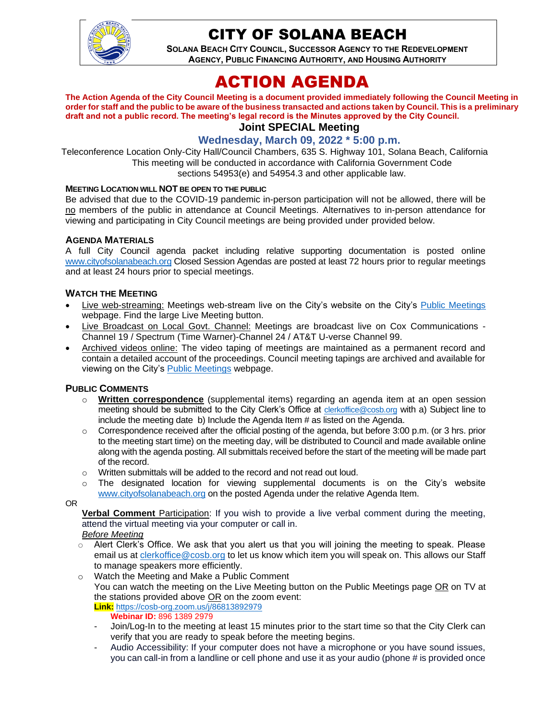

## CITY OF SOLANA BEACH

**SOLANA BEACH CITY COUNCIL, SUCCESSOR AGENCY TO THE REDEVELOPMENT AGENCY, PUBLIC FINANCING AUTHORITY, AND HOUSING AUTHORITY** 

# ACTION AGENDA

**The Action Agenda of the City Council Meeting is a document provided immediately following the Council Meeting in order for staff and the public to be aware of the business transacted and actions taken by Council. This is a preliminary draft and not a public record. The meeting's legal record is the Minutes approved by the City Council. Joint SPECIAL Meeting**

## **Wednesday, March 09, 2022 \* 5:00 p.m.**

Teleconference Location Only-City Hall/Council Chambers, 635 S. Highway 101, Solana Beach, California This meeting will be conducted in accordance with California Government Code sections 54953(e) and 54954.3 and other applicable law.

#### **MEETING LOCATION WILL NOT BE OPEN TO THE PUBLIC**

Be advised that due to the COVID-19 pandemic in-person participation will not be allowed, there will be no members of the public in attendance at Council Meetings. Alternatives to in-person attendance for viewing and participating in City Council meetings are being provided under provided below.

#### **AGENDA MATERIALS**

A full City Council agenda packet including relative supporting documentation is posted online [www.cityofsolanabeach.org](http://www.cityofsolanabeach.org/) Closed Session Agendas are posted at least 72 hours prior to regular meetings and at least 24 hours prior to special meetings.

#### **WATCH THE MEETING**

- Live web-streaming: Meetings web-stream live on the City's website on the City's [Public Meetings](https://urldefense.proofpoint.com/v2/url?u=https-3A__www.ci.solana-2Dbeach.ca.us_index.asp-3FSEC-3DF0F1200D-2D21C6-2D4A88-2D8AE1-2D0BC07C1A81A7-26Type-3DB-5FBASIC&d=DwMFAg&c=euGZstcaTDllvimEN8b7jXrwqOf-v5A_CdpgnVfiiMM&r=1XAsCUuqwK_tji2t0s1uIQ&m=wny2RVfZJ2tN24LkqZmkUWNpwL_peNtTZUBlTBZiMM4&s=WwpcEQpHHkFen6nS6q2waMuQ_VMZ-i1YZ60lD-dYRRE&e=) webpage. Find the large Live Meeting button.
- Live Broadcast on Local Govt. Channel: Meetings are broadcast live on Cox Communications Channel 19 / Spectrum (Time Warner)-Channel 24 / AT&T U-verse Channel 99.
- Archived videos online: The video taping of meetings are maintained as a permanent record and contain a detailed account of the proceedings. Council meeting tapings are archived and available for viewing on the City's [Public Meetings](https://urldefense.proofpoint.com/v2/url?u=https-3A__www.ci.solana-2Dbeach.ca.us_index.asp-3FSEC-3DF0F1200D-2D21C6-2D4A88-2D8AE1-2D0BC07C1A81A7-26Type-3DB-5FBASIC&d=DwMFAg&c=euGZstcaTDllvimEN8b7jXrwqOf-v5A_CdpgnVfiiMM&r=1XAsCUuqwK_tji2t0s1uIQ&m=wny2RVfZJ2tN24LkqZmkUWNpwL_peNtTZUBlTBZiMM4&s=WwpcEQpHHkFen6nS6q2waMuQ_VMZ-i1YZ60lD-dYRRE&e=) webpage.

#### **PUBLIC COMMENTS**

- o **Written correspondence** (supplemental items) regarding an agenda item at an open session meeting should be submitted to the City Clerk's Office at [clerkoffice@cosb.org](mailto:clerkoffice@cosb.org) with a) Subject line to include the meeting date b) Include the Agenda Item # as listed on the Agenda.
- $\circ$  Correspondence received after the official posting of the agenda, but before 3:00 p.m. (or 3 hrs. prior to the meeting start time) on the meeting day, will be distributed to Council and made available online along with the agenda posting. All submittals received before the start of the meeting will be made part of the record.
- o Written submittals will be added to the record and not read out loud.
- $\circ$  The designated location for viewing supplemental documents is on the City's website [www.cityofsolanabeach.org](http://www.cityofsolanabeach.org/) on the posted Agenda under the relative Agenda Item.

OR

**Verbal Comment** Participation: If you wish to provide a live verbal comment during the meeting, attend the virtual meeting via your computer or call in.

#### *Before Meeting*

- $\circ$  Alert Clerk's Office. We ask that you alert us that you will joining the meeting to speak. Please email us at [clerkoffice@cosb.org](mailto:clerkoffice@cosb.org) to let us know which item you will speak on. This allows our Staff to manage speakers more efficiently.
- o Watch the Meeting and Make a Public Comment You can watch the meeting on the Live Meeting button on the Public Meetings page OR on TV at
	- the stations provided above OR on the zoom event: **Link:** <https://cosb-org.zoom.us/j/86813892979>
		- **Webinar ID:** 896 1389 2979
	- Join/Log-In to the meeting at least 15 minutes prior to the start time so that the City Clerk can verify that you are ready to speak before the meeting begins.
	- Audio Accessibility: If your computer does not have a microphone or you have sound issues, you can call-in from a landline or cell phone and use it as your audio (phone # is provided once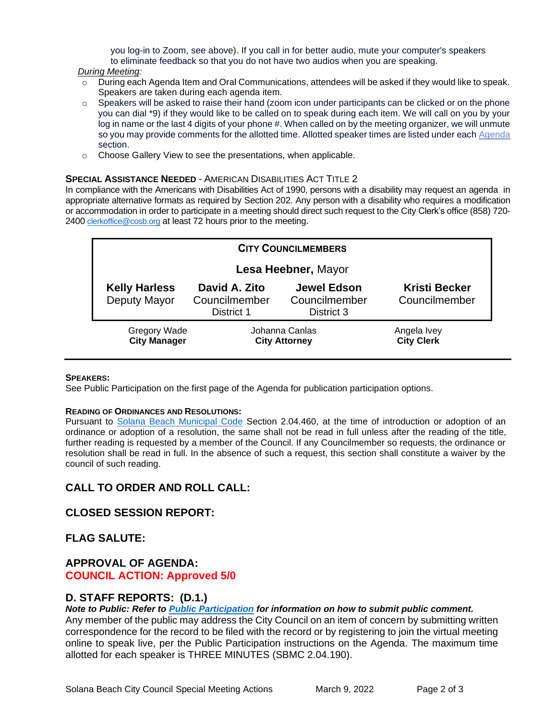you log-in to Zoom, see above). If you call in for better audio, mute your computer's speakers to eliminate feedback so that you do not have two audios when you are speaking.

#### *During Meeting:*

- o During each Agenda Item and Oral Communications, attendees will be asked if they would like to speak. Speakers are taken during each agenda item.
- $\circ$  Speakers will be asked to raise their hand (zoom icon under participants can be clicked or on the phone you can dial \*9) if they would like to be called on to speak during each item. We will call on you by your log in name or the last 4 digits of your phone #. When called on by the meeting organizer, we will unmute so you may provide comments for the allotted time. Allotted speaker times are listed under each [Agenda](https://urldefense.proofpoint.com/v2/url?u=https-3A__www.ci.solana-2Dbeach.ca.us_index.asp-3FSEC-3DF0F1200D-2D21C6-2D4A88-2D8AE1-2D0BC07C1A81A7-26Type-3DB-5FBASIC&d=DwMFaQ&c=euGZstcaTDllvimEN8b7jXrwqOf-v5A_CdpgnVfiiMM&r=1XAsCUuqwK_tji2t0s1uIQ&m=C7WzXfOw2_nkEFMJClT55zZsF4tmIf_7KTn0o1WpYqI&s=3DcsWExM2_nx_xpvFtXslUjphiXd0MDCCF18y_Qy5yU&e=) section.
- o Choose Gallery View to see the presentations, when applicable.

#### **SPECIAL ASSISTANCE NEEDED** - AMERICAN DISABILITIES ACT TITLE 2

In compliance with the Americans with Disabilities Act of 1990, persons with a disability may request an agenda in appropriate alternative formats as required by Section 202. Any person with a disability who requires a modification or accommodation in order to participate in a meeting should direct such request to the City Clerk's office (858) 720- 2400 [clerkoffice@cosb.org](mailto:EMAILGRP-CityClerksOfc@cosb.org) at least 72 hours prior to the meeting.

| <b>CITY COUNCILMEMBERS</b>           |                                              |                                                   |                                       |
|--------------------------------------|----------------------------------------------|---------------------------------------------------|---------------------------------------|
| Lesa Heebner, Mayor                  |                                              |                                                   |                                       |
| <b>Kelly Harless</b><br>Deputy Mayor | David A. Zito<br>Councilmember<br>District 1 | <b>Jewel Edson</b><br>Councilmember<br>District 3 | <b>Kristi Becker</b><br>Councilmember |
| Gregory Wade<br><b>City Manager</b>  | Johanna Canlas<br><b>City Attorney</b>       |                                                   | Angela Ivey<br><b>City Clerk</b>      |

#### **SPEAKERS:**

See Public Participation on the first page of the Agenda for publication participation options.

#### **READING OF ORDINANCES AND RESOLUTIONS:**

Pursuant to [Solana Beach Municipal Code](https://www.codepublishing.com/CA/SolanaBeach/) Section 2.04.460, at the time of introduction or adoption of an ordinance or adoption of a resolution, the same shall not be read in full unless after the reading of the title, further reading is requested by a member of the Council. If any Councilmember so requests, the ordinance or resolution shall be read in full. In the absence of such a request, this section shall constitute a waiver by the council of such reading.

## **CALL TO ORDER AND ROLL CALL:**

## **CLOSED SESSION REPORT:**

#### **FLAG SALUTE:**

### **APPROVAL OF AGENDA: COUNCIL ACTION: Approved 5/0**

#### **D. STAFF REPORTS: (D.1.)**

*Note to Public: Refer to Public Participation for information on how to submit public comment.* 

Any member of the public may address the City Council on an item of concern by submitting written correspondence for the record to be filed with the record or by registering to join the virtual meeting online to speak live, per the Public Participation instructions on the Agenda. The maximum time allotted for each speaker is THREE MINUTES (SBMC 2.04.190).